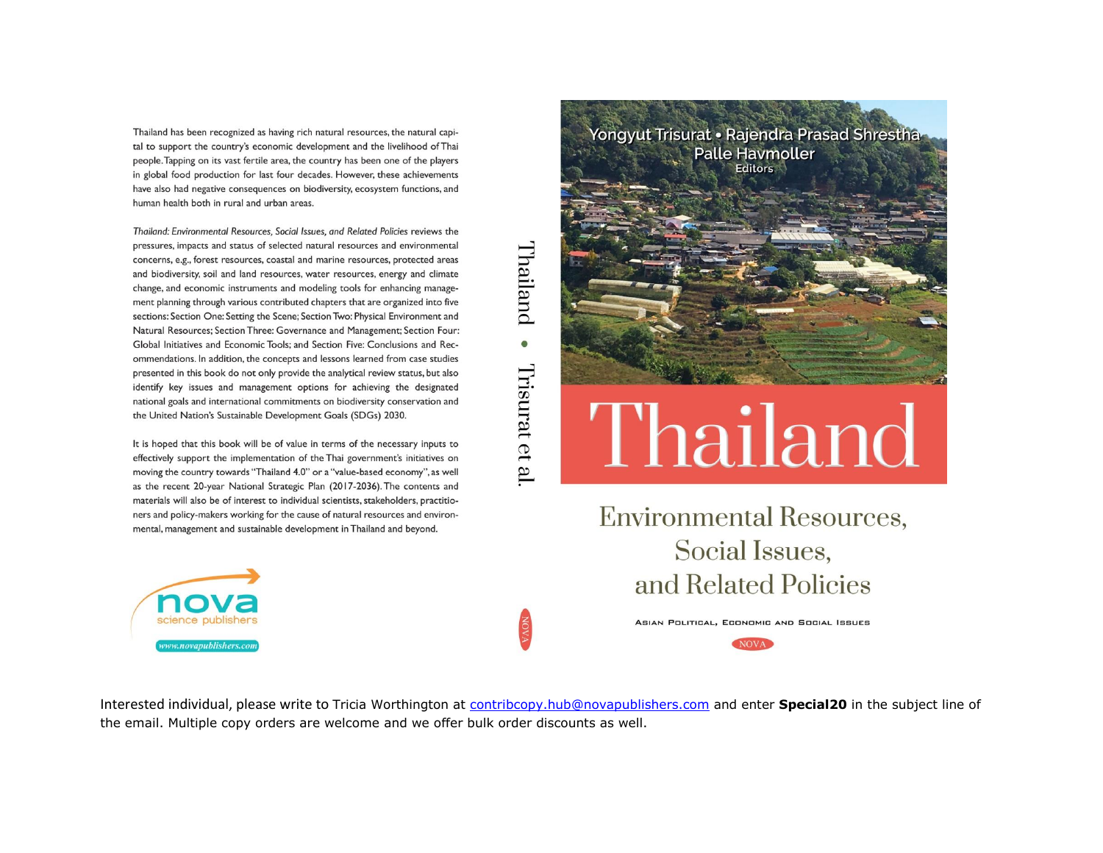Thailand has been recognized as having rich natural resources, the natural capital to support the country's economic development and the livelihood of Thai people. Tapping on its vast fertile area, the country has been one of the players in global food production for last four decades. However, these achievements have also had negative consequences on biodiversity, ecosystem functions, and human health both in rural and urban areas.

Thailand: Environmental Resources, Social Issues, and Related Policies reviews the pressures, impacts and status of selected natural resources and environmental concerns, e.g., forest resources, coastal and marine resources, protected areas and biodiversity, soil and land resources, water resources, energy and climate change, and economic instruments and modeling tools for enhancing management planning through various contributed chapters that are organized into five sections: Section One: Setting the Scene; Section Two: Physical Environment and Natural Resources: Section Three: Governance and Management: Section Four: Global Initiatives and Economic Tools; and Section Five: Conclusions and Recommendations. In addition, the concepts and lessons learned from case studies presented in this book do not only provide the analytical review status, but also identify key issues and management options for achieving the designated national goals and international commitments on biodiversity conservation and the United Nation's Sustainable Development Goals (SDGs) 2030.

It is hoped that this book will be of value in terms of the necessary inputs to effectively support the implementation of the Thai government's initiatives on moving the country towards "Thailand 4.0" or a "value-based economy", as well as the recent 20-year National Strategic Plan (2017-2036). The contents and materials will also be of interest to individual scientists, stakeholders, practitioners and policy-makers working for the cause of natural resources and environmental, management and sustainable development in Thailand and beyond.



# Thailand  $\bullet$ Trisurat et al



**Environmental Resources,** Social Issues, and Related Policies

> ASIAN POLITICAL, ECONOMIC AND SOCIAL ISSUES **NOVA**

Interested individual, please write to Tricia Worthington at [contribcopy.hub@novapublishers.com](mailto:contribcopy.hub@novapublishers.com) and enter **Special20** in the subject line of the email. Multiple copy orders are welcome and we offer bulk order discounts as well.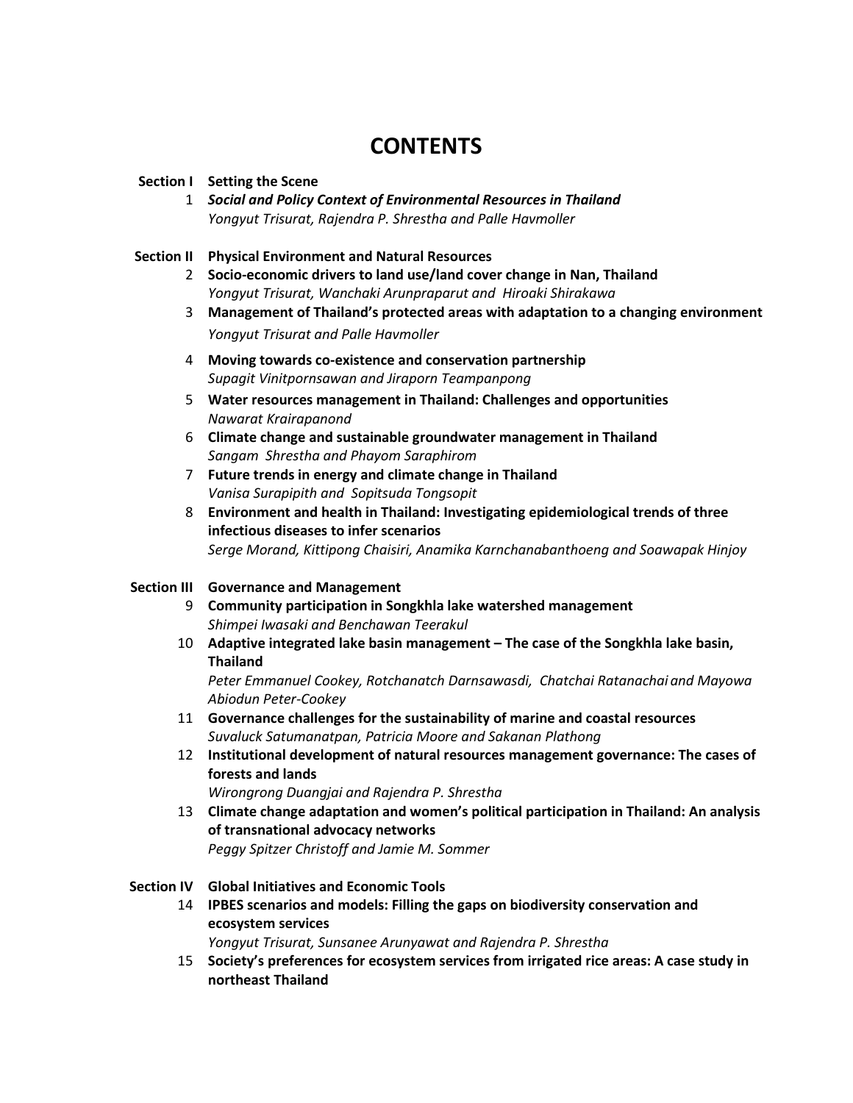## **CONTENTS**

#### **Section I Setting the Scene**

1 *Social and Policy Context of Environmental Resources in Thailand Yongyut Trisurat, Rajendra P. Shrestha and Palle Havmoller*

#### **Section II Physical Environment and Natural Resources**

- 2 **Socio-economic drivers to land use/land cover change in Nan, Thailand**  *Yongyut Trisurat, Wanchaki Arunpraparut and Hiroaki Shirakawa*
- 3 **Management of Thailand's protected areas with adaptation to a changing environment** *Yongyut Trisurat and Palle Havmoller*
- 4 **Moving towards co-existence and conservation partnership** *Supagit Vinitpornsawan and Jiraporn Teampanpong*
- 5 **Water resources management in Thailand: Challenges and opportunities** *Nawarat Krairapanond*
- 6 **Climate change and sustainable groundwater management in Thailand** *Sangam Shrestha and Phayom Saraphirom*
- 7 **Future trends in energy and climate change in Thailand** *Vanisa Surapipith and Sopitsuda Tongsopit*
- 8 **Environment and health in Thailand: Investigating epidemiological trends of three infectious diseases to infer scenarios**  *Serge Morand, Kittipong Chaisiri, Anamika Karnchanabanthoeng and Soawapak Hinjoy*

#### **Section III Governance and Management**

- 9 **Community participation in Songkhla lake watershed management** *Shimpei Iwasaki and Benchawan Teerakul*
- 10 **Adaptive integrated lake basin management – The case of the Songkhla lake basin, Thailand**

*Peter Emmanuel Cookey, Rotchanatch Darnsawasdi, Chatchai Ratanachai and Mayowa Abiodun Peter-Cookey* 

- 11 **Governance challenges for the sustainability of marine and coastal resources** *Suvaluck Satumanatpan, Patricia Moore and Sakanan Plathong*
- 12 **Institutional development of natural resources management governance: The cases of forests and lands**

*Wirongrong Duangjai and Rajendra P. Shrestha* 

13 **Climate change adaptation and women's political participation in Thailand: An analysis of transnational advocacy networks** *Peggy Spitzer Christoff and Jamie M. Sommer* 

#### **Section IV Global Initiatives and Economic Tools**

14 **IPBES scenarios and models: Filling the gaps on biodiversity conservation and ecosystem services**

*Yongyut Trisurat, Sunsanee Arunyawat and Rajendra P. Shrestha* 

15 **Society's preferences for ecosystem services from irrigated rice areas: A case study in northeast Thailand**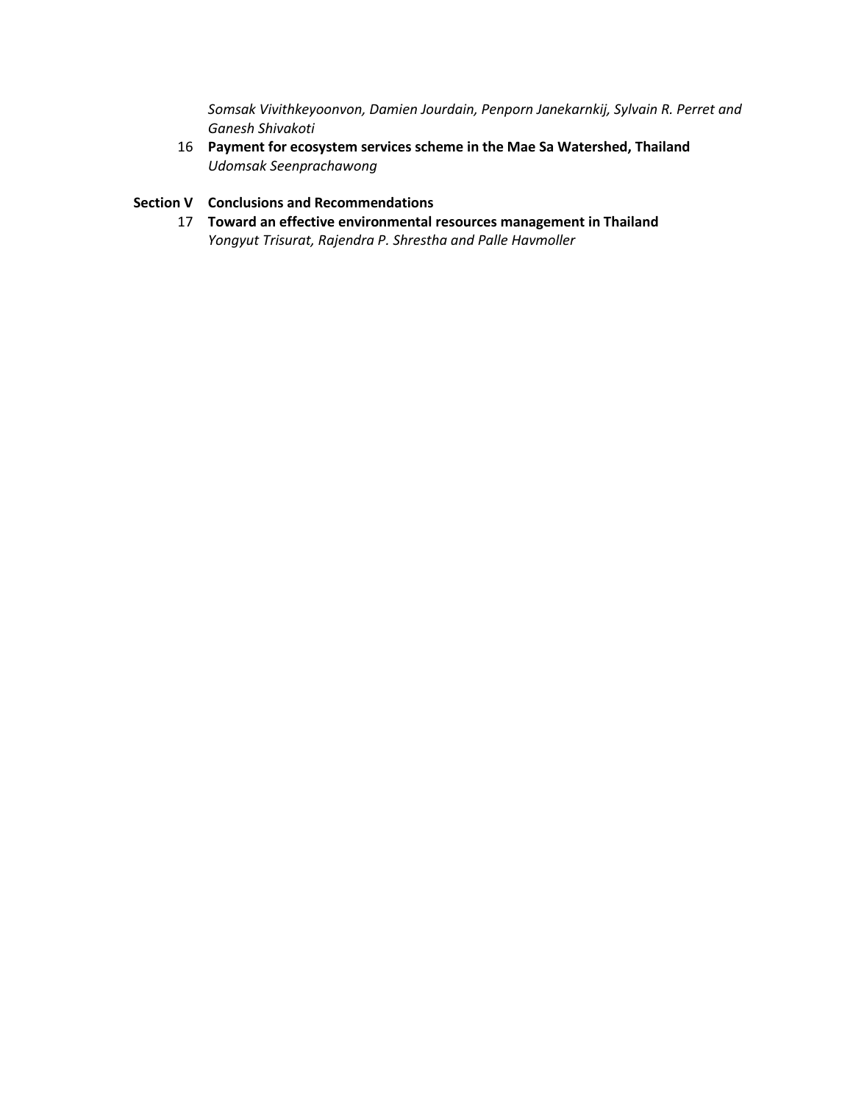*Somsak Vivithkeyoonvon, Damien Jourdain, Penporn Janekarnkij, Sylvain R. Perret and Ganesh Shivakoti* 

16 **Payment for ecosystem services scheme in the Mae Sa Watershed, Thailand**  *Udomsak Seenprachawong* 

#### **Section V Conclusions and Recommendations**

17 **Toward an effective environmental resources management in Thailand** *Yongyut Trisurat, Rajendra P. Shrestha and Palle Havmoller*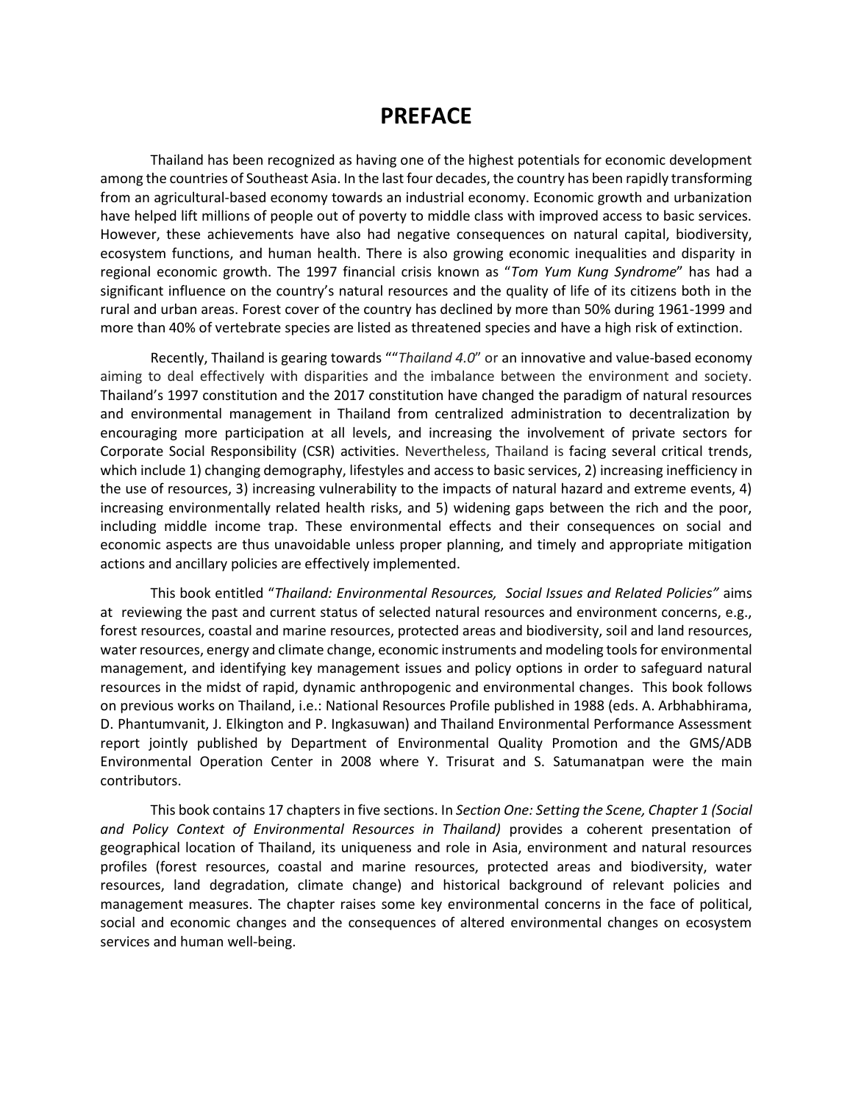### **PREFACE**

Thailand has been recognized as having one of the highest potentials for economic development among the countries of Southeast Asia. In the last four decades, the country has been rapidly transforming from an agricultural-based economy towards an industrial economy. Economic growth and urbanization have helped lift millions of people out of poverty to middle class with improved access to basic services. However, these achievements have also had negative consequences on natural capital, biodiversity, ecosystem functions, and human health. There is also growing economic inequalities and disparity in regional economic growth. The 1997 financial crisis known as "*Tom Yum Kung Syndrome*" has had a significant influence on the country's natural resources and the quality of life of its citizens both in the rural and urban areas. Forest cover of the country has declined by more than 50% during 1961-1999 and more than 40% of vertebrate species are listed as threatened species and have a high risk of extinction.

Recently, Thailand is gearing towards ""*Thailand 4.0*" or an innovative and value-based economy aiming to deal effectively with disparities and the imbalance between the environment and society. Thailand's 1997 constitution and the 2017 constitution have changed the paradigm of natural resources and environmental management in Thailand from centralized administration to decentralization by encouraging more participation at all levels, and increasing the involvement of private sectors for Corporate Social Responsibility (CSR) activities. Nevertheless, Thailand is facing several critical trends, which include 1) changing demography, lifestyles and access to basic services, 2) increasing inefficiency in the use of resources, 3) increasing vulnerability to the impacts of natural hazard and extreme events, 4) increasing environmentally related health risks, and 5) widening gaps between the rich and the poor, including middle income trap. These environmental effects and their consequences on social and economic aspects are thus unavoidable unless proper planning, and timely and appropriate mitigation actions and ancillary policies are effectively implemented.

This book entitled "*Thailand: Environmental Resources, Social Issues and Related Policies"* aims at reviewing the past and current status of selected natural resources and environment concerns, e.g., forest resources, coastal and marine resources, protected areas and biodiversity, soil and land resources, water resources, energy and climate change, economic instruments and modeling tools for environmental management, and identifying key management issues and policy options in order to safeguard natural resources in the midst of rapid, dynamic anthropogenic and environmental changes. This book follows on previous works on Thailand, i.e.: National Resources Profile published in 1988 (eds. A. Arbhabhirama, D. Phantumvanit, J. Elkington and P. Ingkasuwan) and Thailand Environmental Performance Assessment report jointly published by Department of Environmental Quality Promotion and the GMS/ADB Environmental Operation Center in 2008 where Y. Trisurat and S. Satumanatpan were the main contributors.

This book contains 17 chapters in five sections. In *Section One: Setting the Scene, Chapter 1 (Social and Policy Context of Environmental Resources in Thailand)* provides a coherent presentation of geographical location of Thailand, its uniqueness and role in Asia, environment and natural resources profiles (forest resources, coastal and marine resources, protected areas and biodiversity, water resources, land degradation, climate change) and historical background of relevant policies and management measures. The chapter raises some key environmental concerns in the face of political, social and economic changes and the consequences of altered environmental changes on ecosystem services and human well-being.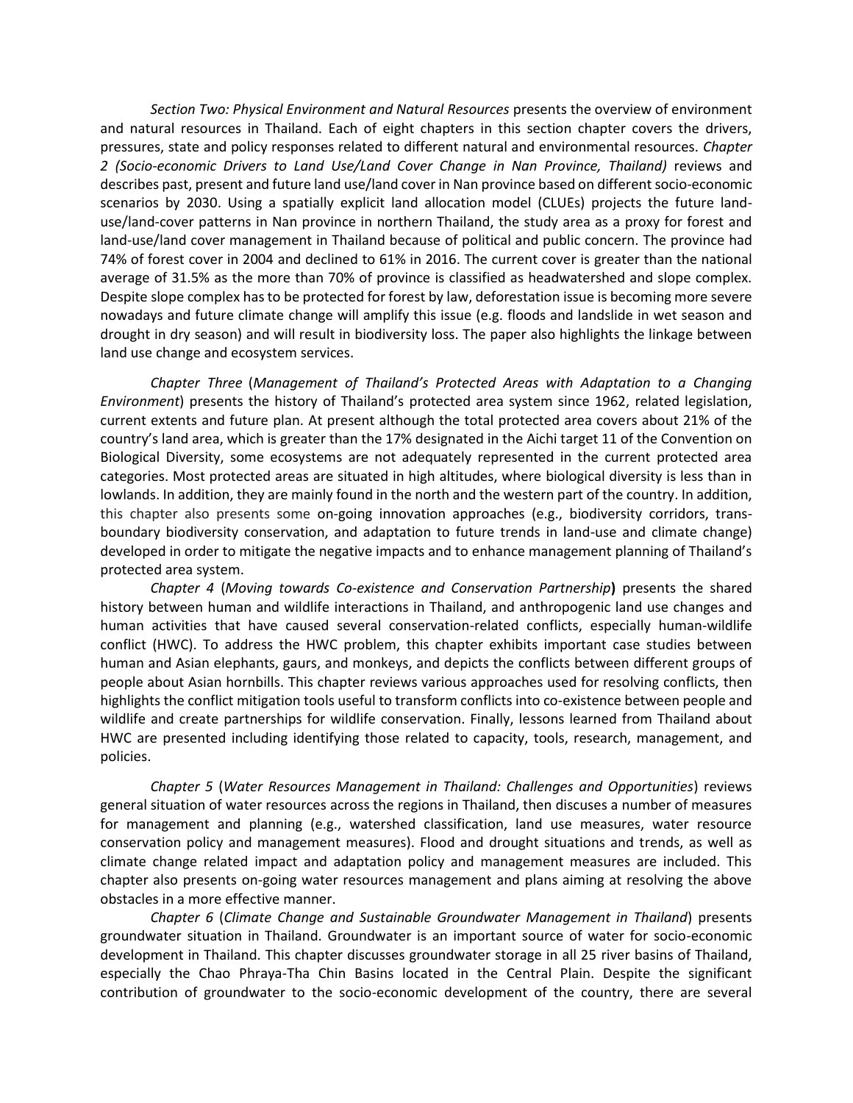*Section Two: Physical Environment and Natural Resources* presents the overview of environment and natural resources in Thailand. Each of eight chapters in this section chapter covers the drivers, pressures, state and policy responses related to different natural and environmental resources. *Chapter 2 (Socio-economic Drivers to Land Use/Land Cover Change in Nan Province, Thailand)* reviews and describes past, present and future land use/land cover in Nan province based on different socio-economic scenarios by 2030. Using a spatially explicit land allocation model (CLUEs) projects the future landuse/land-cover patterns in Nan province in northern Thailand, the study area as a proxy for forest and land-use/land cover management in Thailand because of political and public concern. The province had 74% of forest cover in 2004 and declined to 61% in 2016. The current cover is greater than the national average of 31.5% as the more than 70% of province is classified as headwatershed and slope complex. Despite slope complex has to be protected for forest by law, deforestation issue is becoming more severe nowadays and future climate change will amplify this issue (e.g. floods and landslide in wet season and drought in dry season) and will result in biodiversity loss. The paper also highlights the linkage between land use change and ecosystem services.

*Chapter Three* (*Management of Thailand's Protected Areas with Adaptation to a Changing Environment*) presents the history of Thailand's protected area system since 1962, related legislation, current extents and future plan. At present although the total protected area covers about 21% of the country's land area, which is greater than the 17% designated in the Aichi target 11 of the Convention on Biological Diversity, some ecosystems are not adequately represented in the current protected area categories. Most protected areas are situated in high altitudes, where biological diversity is less than in lowlands. In addition, they are mainly found in the north and the western part of the country. In addition, this chapter also presents some on-going innovation approaches (e.g., biodiversity corridors, transboundary biodiversity conservation, and adaptation to future trends in land-use and climate change) developed in order to mitigate the negative impacts and to enhance management planning of Thailand's protected area system.

*Chapter 4* (*Moving towards Co-existence and Conservation Partnership***)** presents the shared history between human and wildlife interactions in Thailand, and anthropogenic land use changes and human activities that have caused several conservation-related conflicts, especially human-wildlife conflict (HWC). To address the HWC problem, this chapter exhibits important case studies between human and Asian elephants, gaurs, and monkeys, and depicts the conflicts between different groups of people about Asian hornbills. This chapter reviews various approaches used for resolving conflicts, then highlights the conflict mitigation tools useful to transform conflicts into co-existence between people and wildlife and create partnerships for wildlife conservation. Finally, lessons learned from Thailand about HWC are presented including identifying those related to capacity, tools, research, management, and policies.

*Chapter 5* (*Water Resources Management in Thailand: Challenges and Opportunities*) reviews general situation of water resources across the regions in Thailand, then discuses a number of measures for management and planning (e.g., watershed classification, land use measures, water resource conservation policy and management measures). Flood and drought situations and trends, as well as climate change related impact and adaptation policy and management measures are included. This chapter also presents on-going water resources management and plans aiming at resolving the above obstacles in a more effective manner.

*Chapter 6* (*Climate Change and Sustainable Groundwater Management in Thailand*) presents groundwater situation in Thailand. Groundwater is an important source of water for socio-economic development in Thailand. This chapter discusses groundwater storage in all 25 river basins of Thailand, especially the Chao Phraya-Tha Chin Basins located in the Central Plain. Despite the significant contribution of groundwater to the socio-economic development of the country, there are several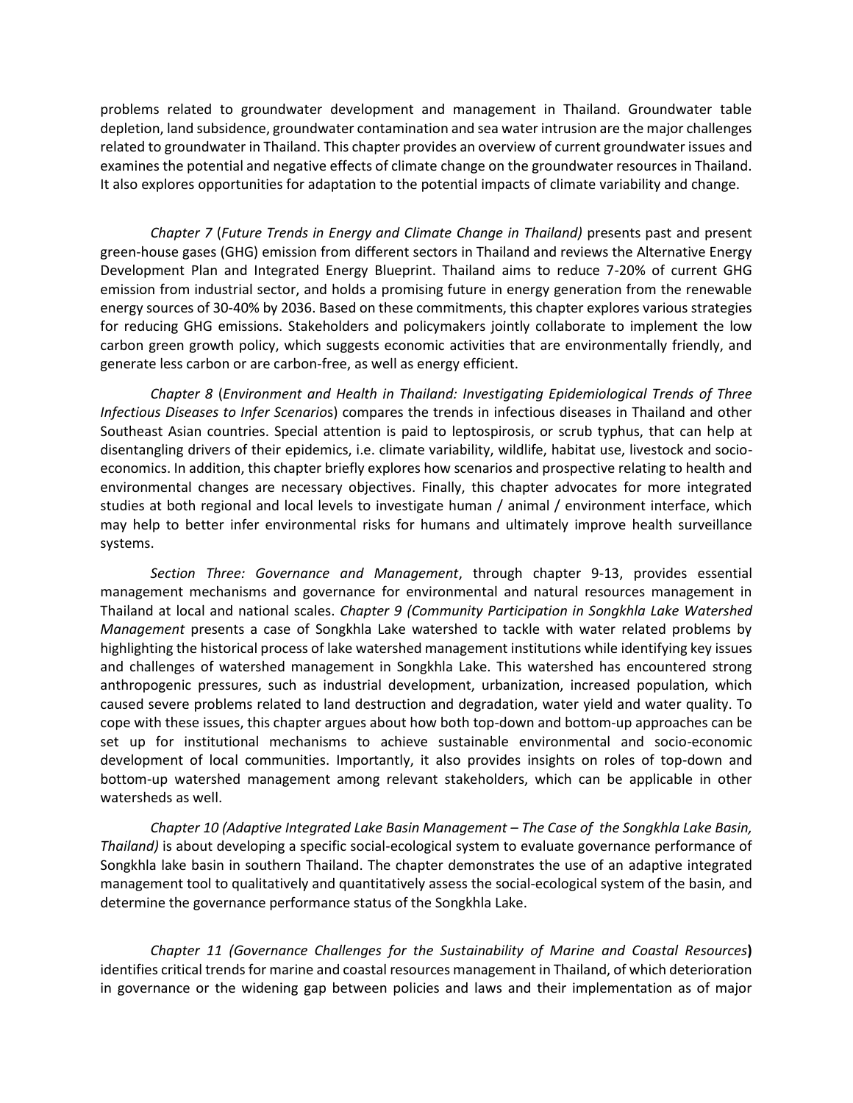problems related to groundwater development and management in Thailand. Groundwater table depletion, land subsidence, groundwater contamination and sea water intrusion are the major challenges related to groundwater in Thailand. This chapter provides an overview of current groundwater issues and examines the potential and negative effects of climate change on the groundwater resources in Thailand. It also explores opportunities for adaptation to the potential impacts of climate variability and change.

*Chapter 7* (*Future Trends in Energy and Climate Change in Thailand)* presents past and present green-house gases (GHG) emission from different sectors in Thailand and reviews the Alternative Energy Development Plan and Integrated Energy Blueprint. Thailand aims to reduce 7-20% of current GHG emission from industrial sector, and holds a promising future in energy generation from the renewable energy sources of 30-40% by 2036. Based on these commitments, this chapter explores various strategies for reducing GHG emissions. Stakeholders and policymakers jointly collaborate to implement the low carbon green growth policy, which suggests economic activities that are environmentally friendly, and generate less carbon or are carbon-free, as well as energy efficient.

*Chapter 8* (*Environment and Health in Thailand: Investigating Epidemiological Trends of Three Infectious Diseases to Infer Scenario*s) compares the trends in infectious diseases in Thailand and other Southeast Asian countries. Special attention is paid to leptospirosis, or scrub typhus, that can help at disentangling drivers of their epidemics, i.e. climate variability, wildlife, habitat use, livestock and socioeconomics. In addition, this chapter briefly explores how scenarios and prospective relating to health and environmental changes are necessary objectives. Finally, this chapter advocates for more integrated studies at both regional and local levels to investigate human / animal / environment interface, which may help to better infer environmental risks for humans and ultimately improve health surveillance systems.

*Section Three: Governance and Management*, through chapter 9-13, provides essential management mechanisms and governance for environmental and natural resources management in Thailand at local and national scales. *Chapter 9 (Community Participation in Songkhla Lake Watershed Management* presents a case of Songkhla Lake watershed to tackle with water related problems by highlighting the historical process of lake watershed management institutions while identifying key issues and challenges of watershed management in Songkhla Lake. This watershed has encountered strong anthropogenic pressures, such as industrial development, urbanization, increased population, which caused severe problems related to land destruction and degradation, water yield and water quality. To cope with these issues, this chapter argues about how both top-down and bottom-up approaches can be set up for institutional mechanisms to achieve sustainable environmental and socio-economic development of local communities. Importantly, it also provides insights on roles of top-down and bottom-up watershed management among relevant stakeholders, which can be applicable in other watersheds as well.

*Chapter 10 (Adaptive Integrated Lake Basin Management – The Case of the Songkhla Lake Basin, Thailand)* is about developing a specific social-ecological system to evaluate governance performance of Songkhla lake basin in southern Thailand. The chapter demonstrates the use of an adaptive integrated management tool to qualitatively and quantitatively assess the social-ecological system of the basin, and determine the governance performance status of the Songkhla Lake.

*Chapter 11 (Governance Challenges for the Sustainability of Marine and Coastal Resources***)**  identifies critical trends for marine and coastal resources management in Thailand, of which deterioration in governance or the widening gap between policies and laws and their implementation as of major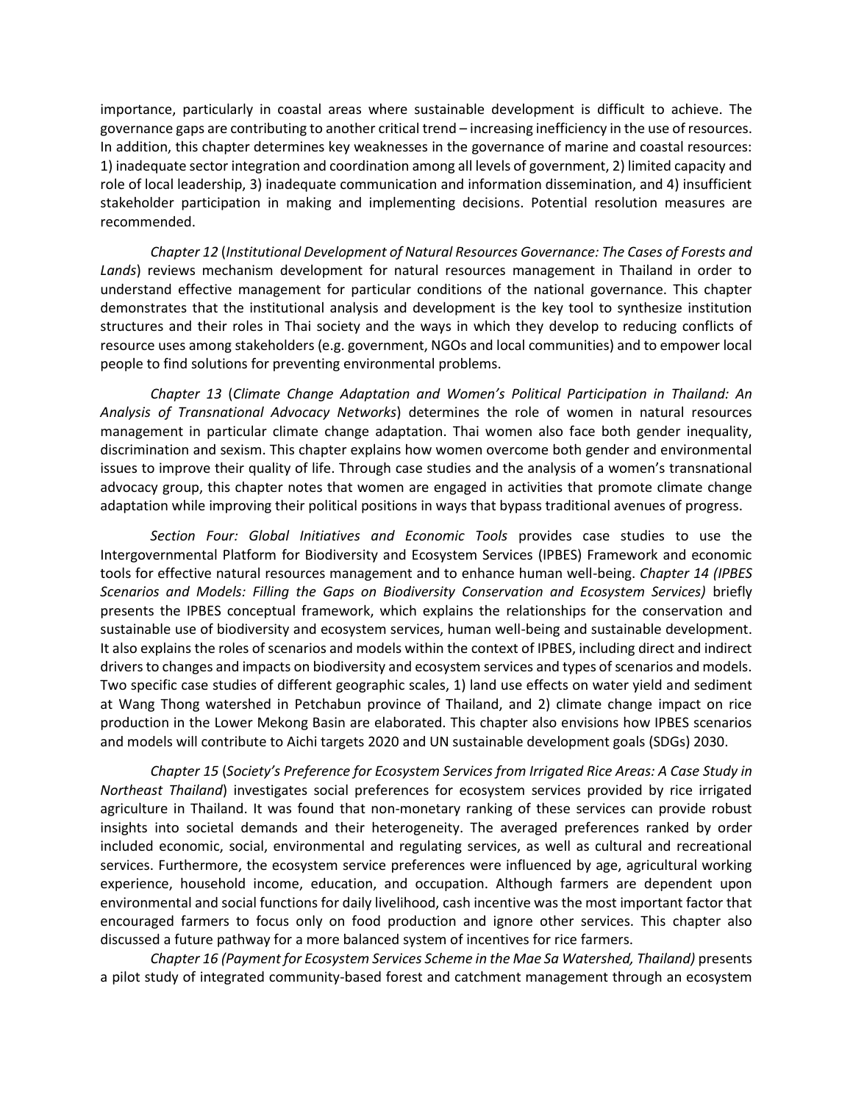importance, particularly in coastal areas where sustainable development is difficult to achieve. The governance gaps are contributing to another critical trend – increasing inefficiency in the use of resources. In addition, this chapter determines key weaknesses in the governance of marine and coastal resources: 1) inadequate sector integration and coordination among all levels of government, 2) limited capacity and role of local leadership, 3) inadequate communication and information dissemination, and 4) insufficient stakeholder participation in making and implementing decisions. Potential resolution measures are recommended.

*Chapter 12* (*Institutional Development of Natural Resources Governance: The Cases of Forests and Lands*) reviews mechanism development for natural resources management in Thailand in order to understand effective management for particular conditions of the national governance. This chapter demonstrates that the institutional analysis and development is the key tool to synthesize institution structures and their roles in Thai society and the ways in which they develop to reducing conflicts of resource uses among stakeholders (e.g. government, NGOs and local communities) and to empower local people to find solutions for preventing environmental problems.

*Chapter 13* (*Climate Change Adaptation and Women's Political Participation in Thailand: An Analysis of Transnational Advocacy Networks*) determines the role of women in natural resources management in particular climate change adaptation. Thai women also face both gender inequality, discrimination and sexism. This chapter explains how women overcome both gender and environmental issues to improve their quality of life. Through case studies and the analysis of a women's transnational advocacy group, this chapter notes that women are engaged in activities that promote climate change adaptation while improving their political positions in ways that bypass traditional avenues of progress.

*Section Four: Global Initiatives and Economic Tools* provides case studies to use the Intergovernmental Platform for Biodiversity and Ecosystem Services (IPBES) Framework and economic tools for effective natural resources management and to enhance human well-being. *Chapter 14 (IPBES Scenarios and Models: Filling the Gaps on Biodiversity Conservation and Ecosystem Services)* briefly presents the IPBES conceptual framework, which explains the relationships for the conservation and sustainable use of biodiversity and ecosystem services, human well-being and sustainable development. It also explains the roles of scenarios and models within the context of IPBES, including direct and indirect drivers to changes and impacts on biodiversity and ecosystem services and types of scenarios and models. Two specific case studies of different geographic scales, 1) land use effects on water yield and sediment at Wang Thong watershed in Petchabun province of Thailand, and 2) climate change impact on rice production in the Lower Mekong Basin are elaborated. This chapter also envisions how IPBES scenarios and models will contribute to Aichi targets 2020 and UN sustainable development goals (SDGs) 2030.

*Chapter 15* (*Society's Preference for Ecosystem Services from Irrigated Rice Areas: A Case Study in Northeast Thailand*) investigates social preferences for ecosystem services provided by rice irrigated agriculture in Thailand. It was found that non-monetary ranking of these services can provide robust insights into societal demands and their heterogeneity. The averaged preferences ranked by order included economic, social, environmental and regulating services, as well as cultural and recreational services. Furthermore, the ecosystem service preferences were influenced by age, agricultural working experience, household income, education, and occupation. Although farmers are dependent upon environmental and social functions for daily livelihood, cash incentive was the most important factor that encouraged farmers to focus only on food production and ignore other services. This chapter also discussed a future pathway for a more balanced system of incentives for rice farmers.

*Chapter 16 (Payment for Ecosystem Services Scheme in the Mae Sa Watershed, Thailand)* presents a pilot study of integrated community-based forest and catchment management through an ecosystem